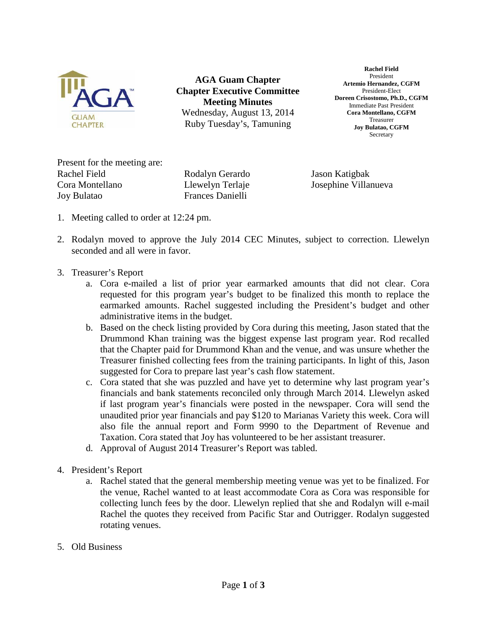

**AGA Guam Chapter Chapter Executive Committee Meeting Minutes** Wednesday, August 13, 2014 Ruby Tuesday's, Tamuning

**Rachel Field** President **Artemio Hernandez, CGFM** President-Elect **Doreen Crisostomo, Ph.D., CGFM** Immediate Past President **Cora Montellano, CGFM** Treasurer **Joy Bulatao, CGFM Secretary** 

Present for the meeting are: Rachel Field Rodalyn Gerardo Jason Katigbak Cora Montellano Llewelyn Terlaje Josephine Villanueva Joy Bulatao Frances Danielli

- 1. Meeting called to order at 12:24 pm.
- 2. Rodalyn moved to approve the July 2014 CEC Minutes, subject to correction. Llewelyn seconded and all were in favor.
- 3. Treasurer's Report
	- a. Cora e-mailed a list of prior year earmarked amounts that did not clear. Cora requested for this program year's budget to be finalized this month to replace the earmarked amounts. Rachel suggested including the President's budget and other administrative items in the budget.
	- b. Based on the check listing provided by Cora during this meeting, Jason stated that the Drummond Khan training was the biggest expense last program year. Rod recalled that the Chapter paid for Drummond Khan and the venue, and was unsure whether the Treasurer finished collecting fees from the training participants. In light of this, Jason suggested for Cora to prepare last year's cash flow statement.
	- c. Cora stated that she was puzzled and have yet to determine why last program year's financials and bank statements reconciled only through March 2014. Llewelyn asked if last program year's financials were posted in the newspaper. Cora will send the unaudited prior year financials and pay \$120 to Marianas Variety this week. Cora will also file the annual report and Form 9990 to the Department of Revenue and Taxation. Cora stated that Joy has volunteered to be her assistant treasurer.
	- d. Approval of August 2014 Treasurer's Report was tabled.
- 4. President's Report
	- a. Rachel stated that the general membership meeting venue was yet to be finalized. For the venue, Rachel wanted to at least accommodate Cora as Cora was responsible for collecting lunch fees by the door. Llewelyn replied that she and Rodalyn will e-mail Rachel the quotes they received from Pacific Star and Outrigger. Rodalyn suggested rotating venues.
- 5. Old Business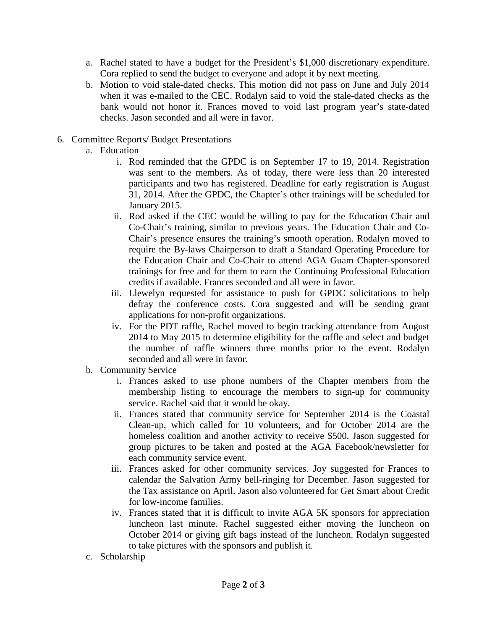- a. Rachel stated to have a budget for the President's \$1,000 discretionary expenditure. Cora replied to send the budget to everyone and adopt it by next meeting.
- b. Motion to void stale-dated checks. This motion did not pass on June and July 2014 when it was e-mailed to the CEC. Rodalyn said to void the stale-dated checks as the bank would not honor it. Frances moved to void last program year's state-dated checks. Jason seconded and all were in favor.
- 6. Committee Reports/ Budget Presentations
	- a. Education
		- i. Rod reminded that the GPDC is on September 17 to 19, 2014. Registration was sent to the members. As of today, there were less than 20 interested participants and two has registered. Deadline for early registration is August 31, 2014. After the GPDC, the Chapter's other trainings will be scheduled for January 2015.
		- ii. Rod asked if the CEC would be willing to pay for the Education Chair and Co-Chair's training, similar to previous years. The Education Chair and Co-Chair's presence ensures the training's smooth operation. Rodalyn moved to require the By-laws Chairperson to draft a Standard Operating Procedure for the Education Chair and Co-Chair to attend AGA Guam Chapter-sponsored trainings for free and for them to earn the Continuing Professional Education credits if available. Frances seconded and all were in favor.
		- iii. Llewelyn requested for assistance to push for GPDC solicitations to help defray the conference costs. Cora suggested and will be sending grant applications for non-profit organizations.
		- iv. For the PDT raffle, Rachel moved to begin tracking attendance from August 2014 to May 2015 to determine eligibility for the raffle and select and budget the number of raffle winners three months prior to the event. Rodalyn seconded and all were in favor.
	- b. Community Service
		- i. Frances asked to use phone numbers of the Chapter members from the membership listing to encourage the members to sign-up for community service. Rachel said that it would be okay.
		- ii. Frances stated that community service for September 2014 is the Coastal Clean-up, which called for 10 volunteers, and for October 2014 are the homeless coalition and another activity to receive \$500. Jason suggested for group pictures to be taken and posted at the AGA Facebook/newsletter for each community service event.
		- iii. Frances asked for other community services. Joy suggested for Frances to calendar the Salvation Army bell-ringing for December. Jason suggested for the Tax assistance on April. Jason also volunteered for Get Smart about Credit for low-income families.
		- iv. Frances stated that it is difficult to invite AGA 5K sponsors for appreciation luncheon last minute. Rachel suggested either moving the luncheon on October 2014 or giving gift bags instead of the luncheon. Rodalyn suggested to take pictures with the sponsors and publish it.
	- c. Scholarship